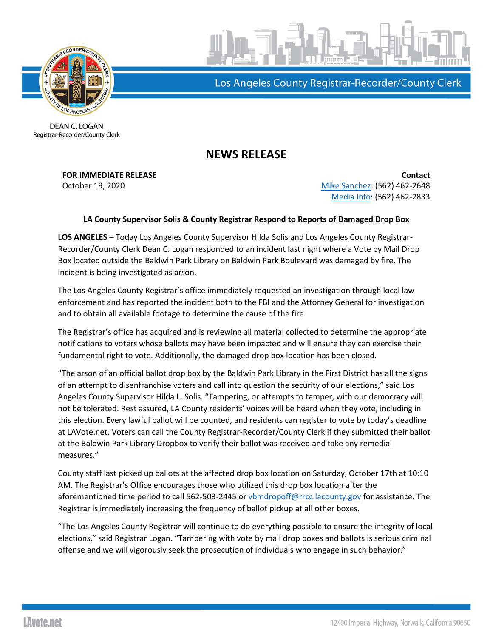

Los Angeles County Registrar-Recorder/County Clerk

DEAN C. LOGAN Registrar-Recorder/County Clerk

## **NEWS RELEASE**

**FOR IMMEDIATE RELEASE Contact** October 19, 2020 **[Mike Sanchez:](mailto:msanchez@rrcc.lacounty.gov)** (562) 462-2648 [Media Info:](mailto:mediainfo@rrcc.lacounty.gov) (562) 462-2833

## **LA County Supervisor Solis & County Registrar Respond to Reports of Damaged Drop Box**

**LOS ANGELES** – Today Los Angeles County Supervisor Hilda Solis and Los Angeles County Registrar-Recorder/County Clerk Dean C. Logan responded to an incident last night where a Vote by Mail Drop Box located outside the Baldwin Park Library on Baldwin Park Boulevard was damaged by fire. The incident is being investigated as arson.

The Los Angeles County Registrar's office immediately requested an investigation through local law enforcement and has reported the incident both to the FBI and the Attorney General for investigation and to obtain all available footage to determine the cause of the fire.

The Registrar's office has acquired and is reviewing all material collected to determine the appropriate notifications to voters whose ballots may have been impacted and will ensure they can exercise their fundamental right to vote. Additionally, the damaged drop box location has been closed.

"The arson of an official ballot drop box by the Baldwin Park Library in the First District has all the signs of an attempt to disenfranchise voters and call into question the security of our elections," said Los Angeles County Supervisor Hilda L. Solis. "Tampering, or attempts to tamper, with our democracy will not be tolerated. Rest assured, LA County residents' voices will be heard when they vote, including in this election. Every lawful ballot will be counted, and residents can register to vote by today's deadline at LAVote.net. Voters can call the County Registrar-Recorder/County Clerk if they submitted their ballot at the Baldwin Park Library Dropbox to verify their ballot was received and take any remedial measures."

County staff last picked up ballots at the affected drop box location on Saturday, October 17th at 10:10 AM. The Registrar's Office encourages those who utilized this drop box location after the aforementioned time period to call 562-503-2445 o[r vbmdropoff@rrcc.lacounty.gov](mailto:vbmdropoff@rrcc.lacounty.gov) for assistance. The Registrar is immediately increasing the frequency of ballot pickup at all other boxes.

"The Los Angeles County Registrar will continue to do everything possible to ensure the integrity of local elections," said Registrar Logan. "Tampering with vote by mail drop boxes and ballots is serious criminal offense and we will vigorously seek the prosecution of individuals who engage in such behavior."